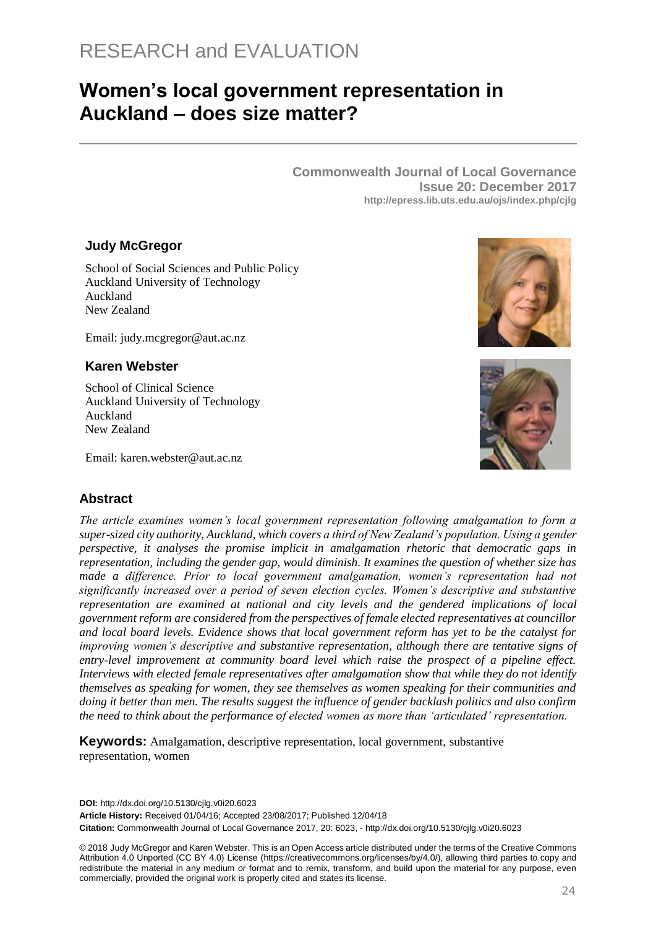# **Women's local government representation in Auckland – does size matter?**

**Commonwealth Journal of Local Governance Issue 20: December 2017 http://epress.lib.uts.edu.au/ojs/index.php/cjlg**

## **Judy McGregor**

School of Social Sciences and Public Policy Auckland University of Technology Auckland New Zealand

Email: [judy.mcgregor@aut.ac.nz](mailto:judy.mcgregor@aut.ac.nz)

## **Karen Webster**

School of Clinical Science Auckland University of Technology Auckland New Zealand

Email: karen.webster@aut.ac.nz





## **Abstract**

*The article examines women's local government representation following amalgamation to form a super-sized city authority, Auckland, which covers a third of New Zealand's population. Using a gender perspective, it analyses the promise implicit in amalgamation rhetoric that democratic gaps in representation, including the gender gap, would diminish. It examines the question of whether size has made a difference. Prior to local government amalgamation, women's representation had not significantly increased over a period of seven election cycles. Women's descriptive and substantive representation are examined at national and city levels and the gendered implications of local government reform are considered from the perspectives of female elected representatives at councillor and local board levels. Evidence shows that local government reform has yet to be the catalyst for improving women's descriptive and substantive representation, although there are tentative signs of entry-level improvement at community board level which raise the prospect of a pipeline effect. Interviews with elected female representatives after amalgamation show that while they do not identify themselves as speaking for women, they see themselves as women speaking for their communities and doing it better than men. The results suggest the influence of gender backlash politics and also confirm the need to think about the performance of elected women as more than 'articulated' representation.*

**Keywords:** Amalgamation, descriptive representation, local government, substantive representation, women

**DOI:** http://dx.doi.org/10.5130/cjlg.v0i20.6023

**Article History:** Received 01/04/16; Accepted 23/08/2017; Published 12/04/18 **Citation:** Commonwealth Journal of Local Governance 2017, 20: 6023, - http://dx.doi.org/10.5130/cjlg.v0i20.6023

© 2018 Judy McGregor and Karen Webster. This is an Open Access article distributed under the terms of the Creative Commons Attribution 4.0 Unported (CC BY 4.0) License [\(https://creativecommons.org/licenses/by/4.0/\)](https://creativecommons.org/licenses/by/4.0/), allowing third parties to copy and redistribute the material in any medium or format and to remix, transform, and build upon the material for any purpose, even commercially, provided the original work is properly cited and states its license.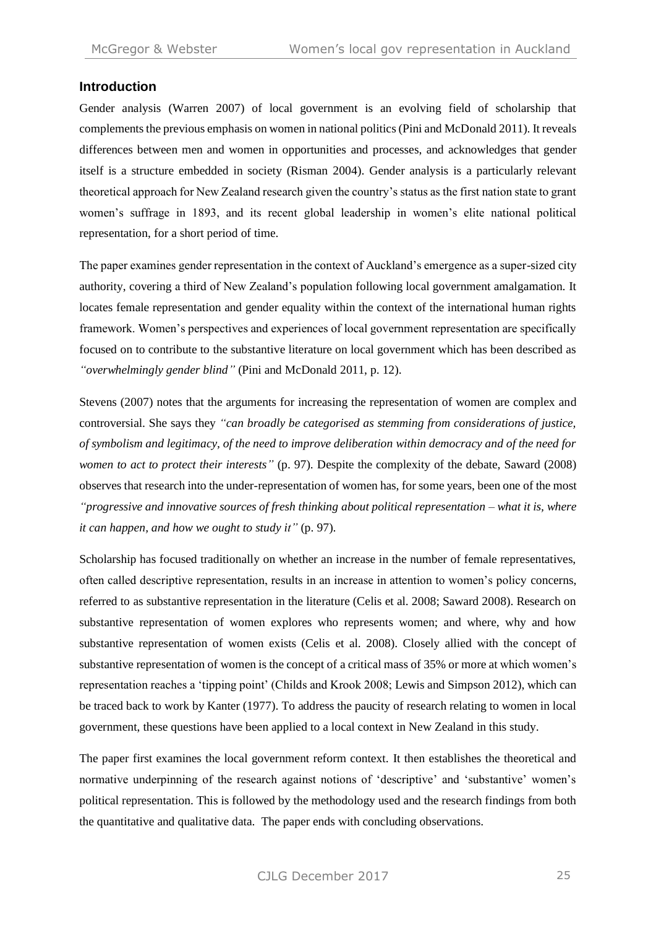#### **Introduction**

Gender analysis (Warren 2007) of local government is an evolving field of scholarship that complements the previous emphasis on women in national politics (Pini and McDonald 2011). It reveals differences between men and women in opportunities and processes, and acknowledges that gender itself is a structure embedded in society (Risman 2004). Gender analysis is a particularly relevant theoretical approach for New Zealand research given the country's status as the first nation state to grant women's suffrage in 1893, and its recent global leadership in women's elite national political representation, for a short period of time.

The paper examines gender representation in the context of Auckland's emergence as a super-sized city authority, covering a third of New Zealand's population following local government amalgamation. It locates female representation and gender equality within the context of the international human rights framework. Women's perspectives and experiences of local government representation are specifically focused on to contribute to the substantive literature on local government which has been described as *"overwhelmingly gender blind"* (Pini and McDonald 2011, p. 12).

Stevens (2007) notes that the arguments for increasing the representation of women are complex and controversial. She says they *"can broadly be categorised as stemming from considerations of justice, of symbolism and legitimacy, of the need to improve deliberation within democracy and of the need for women to act to protect their interests"* (p. 97). Despite the complexity of the debate, Saward (2008) observes that research into the under-representation of women has, for some years, been one of the most *"progressive and innovative sources of fresh thinking about political representation – what it is, where it can happen, and how we ought to study it"* (p. 97).

Scholarship has focused traditionally on whether an increase in the number of female representatives, often called descriptive representation, results in an increase in attention to women's policy concerns, referred to as substantive representation in the literature (Celis et al. 2008; Saward 2008). Research on substantive representation of women explores who represents women; and where, why and how substantive representation of women exists (Celis et al. 2008). Closely allied with the concept of substantive representation of women is the concept of a critical mass of 35% or more at which women's representation reaches a 'tipping point' (Childs and Krook 2008; Lewis and Simpson 2012), which can be traced back to work by Kanter (1977). To address the paucity of research relating to women in local government, these questions have been applied to a local context in New Zealand in this study.

The paper first examines the local government reform context. It then establishes the theoretical and normative underpinning of the research against notions of 'descriptive' and 'substantive' women's political representation. This is followed by the methodology used and the research findings from both the quantitative and qualitative data. The paper ends with concluding observations.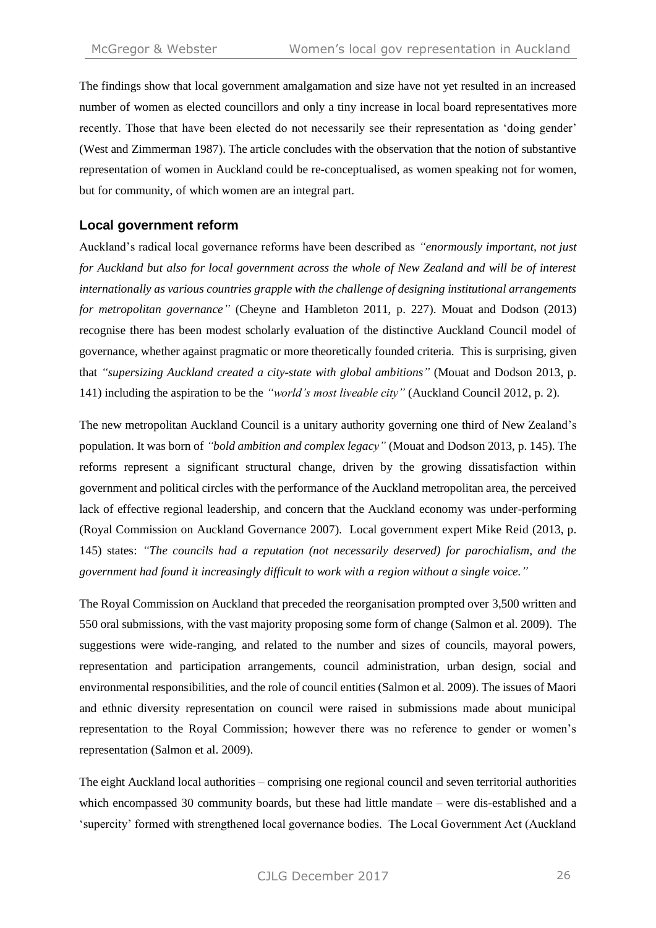The findings show that local government amalgamation and size have not yet resulted in an increased number of women as elected councillors and only a tiny increase in local board representatives more recently. Those that have been elected do not necessarily see their representation as 'doing gender' (West and Zimmerman 1987). The article concludes with the observation that the notion of substantive representation of women in Auckland could be re-conceptualised, as women speaking not for women, but for community, of which women are an integral part.

### **Local government reform**

Auckland's radical local governance reforms have been described as *"enormously important, not just for Auckland but also for local government across the whole of New Zealand and will be of interest internationally as various countries grapple with the challenge of designing institutional arrangements for metropolitan governance"* (Cheyne and Hambleton 2011, p. 227). Mouat and Dodson (2013) recognise there has been modest scholarly evaluation of the distinctive Auckland Council model of governance, whether against pragmatic or more theoretically founded criteria. This is surprising, given that *"supersizing Auckland created a city-state with global ambitions"* (Mouat and Dodson 2013, p. 141) including the aspiration to be the *"world's most liveable city"* (Auckland Council 2012, p. 2).

The new metropolitan Auckland Council is a unitary authority governing one third of New Zealand's population. It was born of *"bold ambition and complex legacy"* (Mouat and Dodson 2013, p. 145). The reforms represent a significant structural change, driven by the growing dissatisfaction within government and political circles with the performance of the Auckland metropolitan area, the perceived lack of effective regional leadership, and concern that the Auckland economy was under-performing (Royal Commission on Auckland Governance 2007). Local government expert Mike Reid (2013, p. 145) states: *"The councils had a reputation (not necessarily deserved) for parochialism, and the government had found it increasingly difficult to work with a region without a single voice."*

The Royal Commission on Auckland that preceded the reorganisation prompted over 3,500 written and 550 oral submissions, with the vast majority proposing some form of change (Salmon et al. 2009). The suggestions were wide-ranging, and related to the number and sizes of councils, mayoral powers, representation and participation arrangements, council administration, urban design, social and environmental responsibilities, and the role of council entities (Salmon et al. 2009). The issues of Maori and ethnic diversity representation on council were raised in submissions made about municipal representation to the Royal Commission; however there was no reference to gender or women's representation (Salmon et al. 2009).

The eight Auckland local authorities – comprising one regional council and seven territorial authorities which encompassed 30 community boards, but these had little mandate – were dis-established and a 'supercity' formed with strengthened local governance bodies. The Local Government Act (Auckland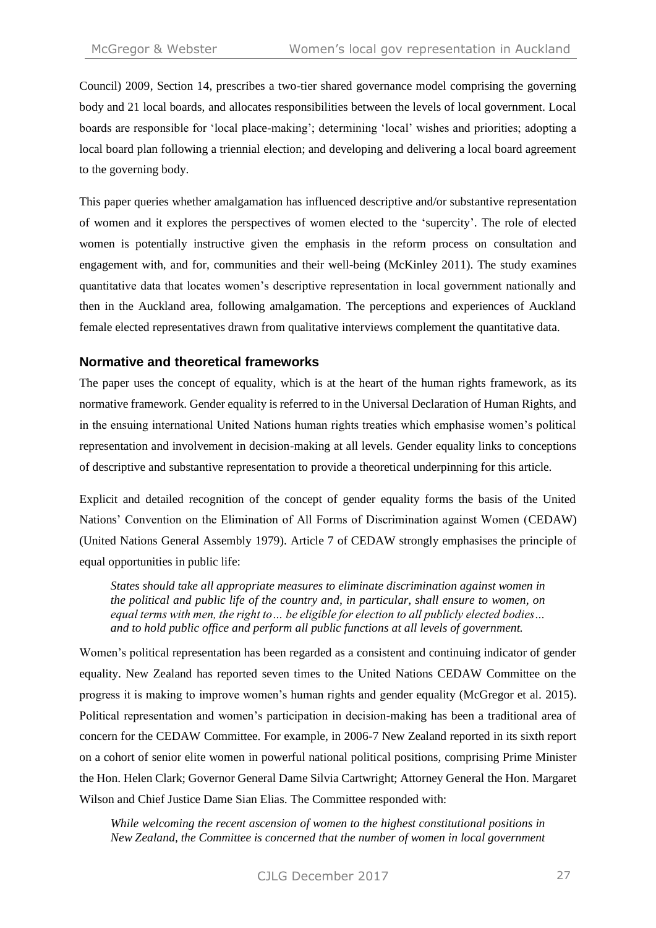Council) 2009, Section 14, prescribes a two-tier shared governance model comprising the governing body and 21 local boards, and allocates responsibilities between the levels of local government. Local boards are responsible for 'local place-making'; determining 'local' wishes and priorities; adopting a local board plan following a triennial election; and developing and delivering a local board agreement to the governing body.

This paper queries whether amalgamation has influenced descriptive and/or substantive representation of women and it explores the perspectives of women elected to the 'supercity'. The role of elected women is potentially instructive given the emphasis in the reform process on consultation and engagement with, and for, communities and their well-being (McKinley 2011). The study examines quantitative data that locates women's descriptive representation in local government nationally and then in the Auckland area, following amalgamation. The perceptions and experiences of Auckland female elected representatives drawn from qualitative interviews complement the quantitative data.

#### **Normative and theoretical frameworks**

The paper uses the concept of equality, which is at the heart of the human rights framework, as its normative framework. Gender equality is referred to in the Universal Declaration of Human Rights, and in the ensuing international United Nations human rights treaties which emphasise women's political representation and involvement in decision-making at all levels. Gender equality links to conceptions of descriptive and substantive representation to provide a theoretical underpinning for this article.

Explicit and detailed recognition of the concept of gender equality forms the basis of the United Nations' Convention on the Elimination of All Forms of Discrimination against Women (CEDAW) (United Nations General Assembly 1979). Article 7 of CEDAW strongly emphasises the principle of equal opportunities in public life:

*States should take all appropriate measures to eliminate discrimination against women in the political and public life of the country and, in particular, shall ensure to women, on equal terms with men, the right to… be eligible for election to all publicly elected bodies… and to hold public office and perform all public functions at all levels of government.* 

Women's political representation has been regarded as a consistent and continuing indicator of gender equality. New Zealand has reported seven times to the United Nations CEDAW Committee on the progress it is making to improve women's human rights and gender equality (McGregor et al. 2015). Political representation and women's participation in decision-making has been a traditional area of concern for the CEDAW Committee. For example, in 2006-7 New Zealand reported in its sixth report on a cohort of senior elite women in powerful national political positions, comprising Prime Minister the Hon. Helen Clark; Governor General Dame Silvia Cartwright; Attorney General the Hon. Margaret Wilson and Chief Justice Dame Sian Elias. The Committee responded with:

*While welcoming the recent ascension of women to the highest constitutional positions in New Zealand, the Committee is concerned that the number of women in local government*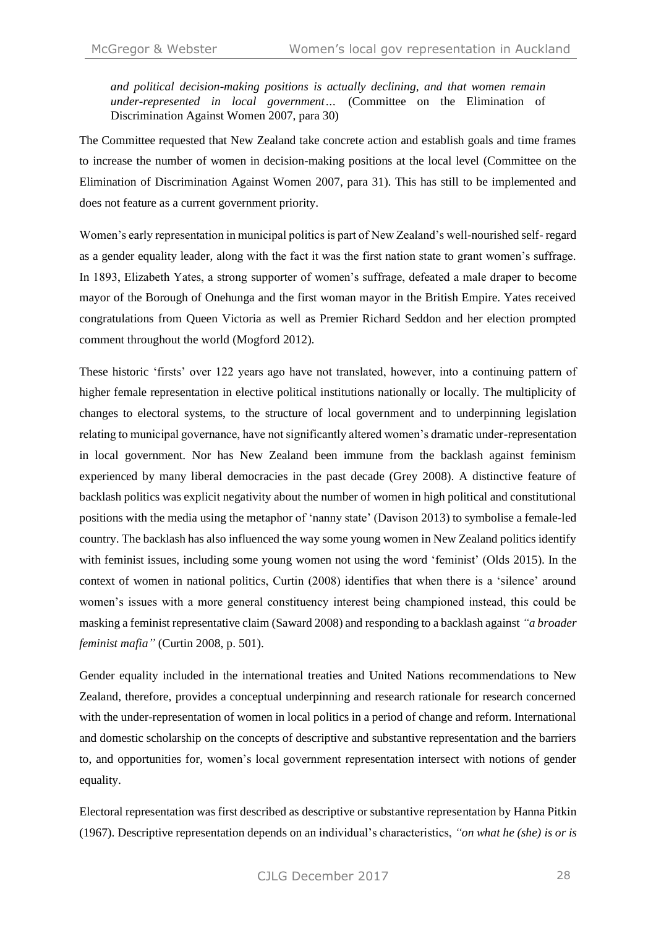*and political decision-making positions is actually declining, and that women remain under-represented in local government…* (Committee on the Elimination of Discrimination Against Women 2007, para 30)

The Committee requested that New Zealand take concrete action and establish goals and time frames to increase the number of women in decision-making positions at the local level (Committee on the Elimination of Discrimination Against Women 2007, para 31). This has still to be implemented and does not feature as a current government priority.

Women's early representation in municipal politics is part of New Zealand's well-nourished self- regard as a gender equality leader, along with the fact it was the first nation state to grant women's suffrage. In 1893, Elizabeth Yates, a strong supporter of women's suffrage, defeated a male draper to become mayor of the Borough of Onehunga and the first woman mayor in the British Empire. Yates received congratulations from Queen Victoria as well as Premier Richard Seddon and her election prompted comment throughout the world (Mogford 2012).

These historic 'firsts' over 122 years ago have not translated, however, into a continuing pattern of higher female representation in elective political institutions nationally or locally. The multiplicity of changes to electoral systems, to the structure of local government and to underpinning legislation relating to municipal governance, have not significantly altered women's dramatic under-representation in local government. Nor has New Zealand been immune from the backlash against feminism experienced by many liberal democracies in the past decade (Grey 2008). A distinctive feature of backlash politics was explicit negativity about the number of women in high political and constitutional positions with the media using the metaphor of 'nanny state' (Davison 2013) to symbolise a female-led country. The backlash has also influenced the way some young women in New Zealand politics identify with feminist issues, including some young women not using the word 'feminist' (Olds 2015). In the context of women in national politics, Curtin (2008) identifies that when there is a 'silence' around women's issues with a more general constituency interest being championed instead, this could be masking a feminist representative claim (Saward 2008) and responding to a backlash against *"a broader feminist mafia"* (Curtin 2008, p. 501).

Gender equality included in the international treaties and United Nations recommendations to New Zealand, therefore, provides a conceptual underpinning and research rationale for research concerned with the under-representation of women in local politics in a period of change and reform. International and domestic scholarship on the concepts of descriptive and substantive representation and the barriers to, and opportunities for, women's local government representation intersect with notions of gender equality.

Electoral representation was first described as descriptive or substantive representation by Hanna Pitkin (1967). Descriptive representation depends on an individual's characteristics, *"on what he (she) is or is*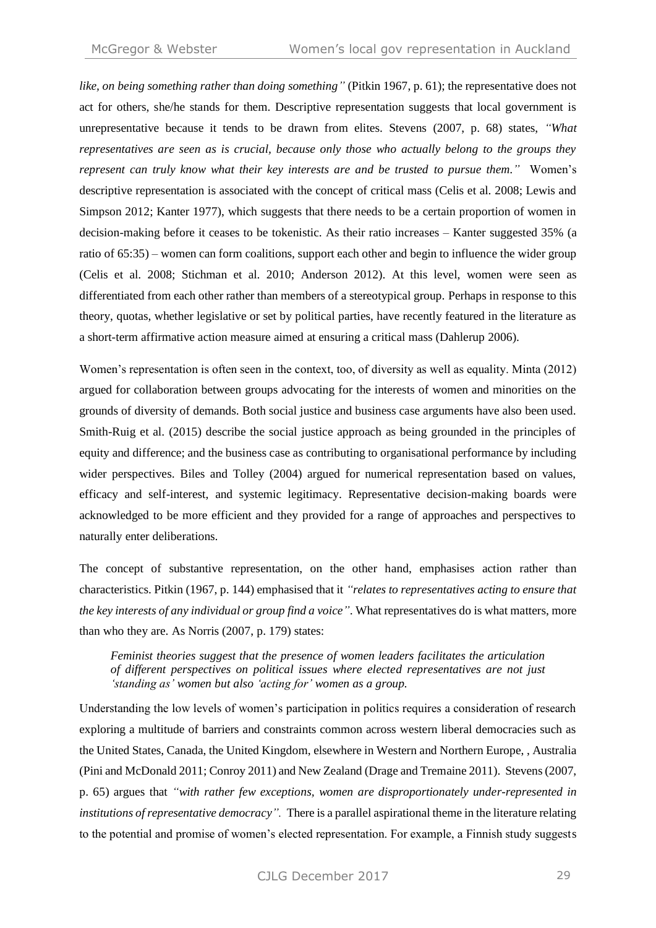*like, on being something rather than doing something"* (Pitkin 1967, p. 61); the representative does not act for others, she/he stands for them. Descriptive representation suggests that local government is unrepresentative because it tends to be drawn from elites. Stevens (2007, p. 68) states, *"What representatives are seen as is crucial, because only those who actually belong to the groups they represent can truly know what their key interests are and be trusted to pursue them."* Women's descriptive representation is associated with the concept of critical mass (Celis et al. 2008; Lewis and Simpson 2012; Kanter 1977), which suggests that there needs to be a certain proportion of women in decision-making before it ceases to be tokenistic. As their ratio increases – Kanter suggested 35% (a ratio of 65:35) – women can form coalitions, support each other and begin to influence the wider group (Celis et al. 2008; Stichman et al. 2010; Anderson 2012). At this level, women were seen as differentiated from each other rather than members of a stereotypical group. Perhaps in response to this theory, quotas, whether legislative or set by political parties, have recently featured in the literature as a short-term affirmative action measure aimed at ensuring a critical mass (Dahlerup 2006).

Women's representation is often seen in the context, too, of diversity as well as equality. Minta (2012) argued for collaboration between groups advocating for the interests of women and minorities on the grounds of diversity of demands. Both social justice and business case arguments have also been used. Smith-Ruig et al. (2015) describe the social justice approach as being grounded in the principles of equity and difference; and the business case as contributing to organisational performance by including wider perspectives. Biles and Tolley (2004) argued for numerical representation based on values, efficacy and self-interest, and systemic legitimacy. Representative decision-making boards were acknowledged to be more efficient and they provided for a range of approaches and perspectives to naturally enter deliberations.

The concept of substantive representation, on the other hand, emphasises action rather than characteristics. Pitkin (1967, p. 144) emphasised that it *"relates to representatives acting to ensure that the key interests of any individual or group find a voice"*. What representatives do is what matters, more than who they are. As Norris (2007, p. 179) states:

*Feminist theories suggest that the presence of women leaders facilitates the articulation of different perspectives on political issues where elected representatives are not just 'standing as' women but also 'acting for' women as a group.* 

Understanding the low levels of women's participation in politics requires a consideration of research exploring a multitude of barriers and constraints common across western liberal democracies such as the United States, Canada, the United Kingdom, elsewhere in Western and Northern Europe, , Australia (Pini and McDonald 2011; Conroy 2011) and New Zealand (Drage and Tremaine 2011). Stevens (2007, p. 65) argues that *"with rather few exceptions, women are disproportionately under-represented in institutions of representative democracy".* There is a parallel aspirational theme in the literature relating to the potential and promise of women's elected representation. For example, a Finnish study suggests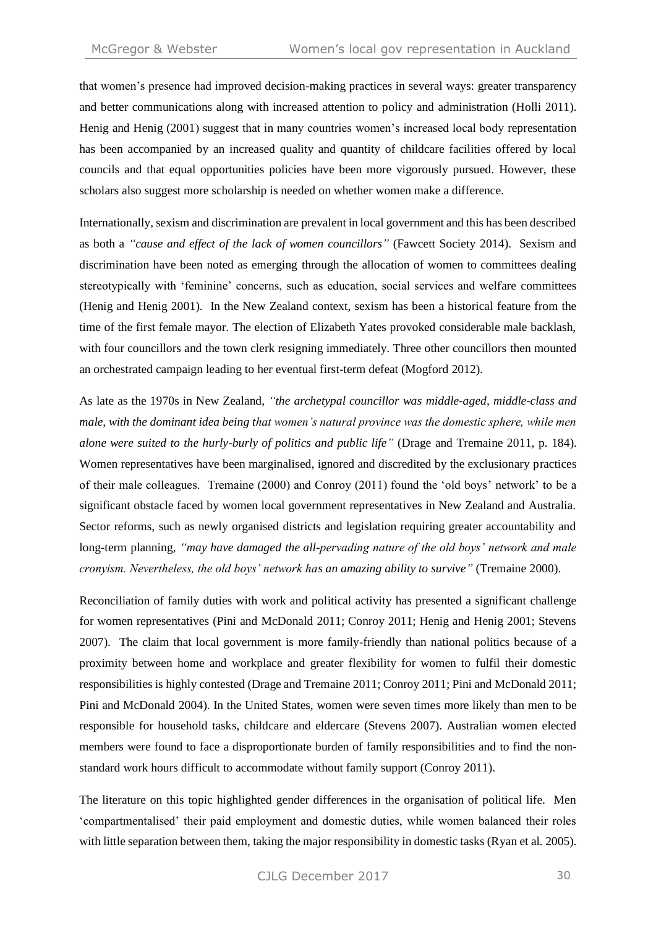that women's presence had improved decision-making practices in several ways: greater transparency and better communications along with increased attention to policy and administration (Holli 2011). Henig and Henig (2001) suggest that in many countries women's increased local body representation has been accompanied by an increased quality and quantity of childcare facilities offered by local councils and that equal opportunities policies have been more vigorously pursued. However, these scholars also suggest more scholarship is needed on whether women make a difference.

Internationally, sexism and discrimination are prevalent in local government and this has been described as both a *"cause and effect of the lack of women councillors"* (Fawcett Society 2014). Sexism and discrimination have been noted as emerging through the allocation of women to committees dealing stereotypically with 'feminine' concerns, such as education, social services and welfare committees (Henig and Henig 2001). In the New Zealand context, sexism has been a historical feature from the time of the first female mayor. The election of Elizabeth Yates provoked considerable male backlash, with four councillors and the town clerk resigning immediately. Three other councillors then mounted an orchestrated campaign leading to her eventual first-term defeat (Mogford 2012).

As late as the 1970s in New Zealand, *"the archetypal councillor was middle-aged, middle-class and male, with the dominant idea being that women's natural province was the domestic sphere, while men alone were suited to the hurly-burly of politics and public life"* (Drage and Tremaine 2011, p. 184). Women representatives have been marginalised, ignored and discredited by the exclusionary practices of their male colleagues. Tremaine (2000) and Conroy (2011) found the 'old boys' network' to be a significant obstacle faced by women local government representatives in New Zealand and Australia. Sector reforms, such as newly organised districts and legislation requiring greater accountability and long-term planning*, "may have damaged the all-pervading nature of the old boys' network and male cronyism. Nevertheless, the old boys' network has an amazing ability to survive"* (Tremaine 2000).

Reconciliation of family duties with work and political activity has presented a significant challenge for women representatives (Pini and McDonald 2011; Conroy 2011; Henig and Henig 2001; Stevens 2007). The claim that local government is more family-friendly than national politics because of a proximity between home and workplace and greater flexibility for women to fulfil their domestic responsibilities is highly contested (Drage and Tremaine 2011; Conroy 2011; Pini and McDonald 2011; Pini and McDonald 2004). In the United States, women were seven times more likely than men to be responsible for household tasks, childcare and eldercare (Stevens 2007). Australian women elected members were found to face a disproportionate burden of family responsibilities and to find the nonstandard work hours difficult to accommodate without family support (Conroy 2011).

The literature on this topic highlighted gender differences in the organisation of political life. Men 'compartmentalised' their paid employment and domestic duties, while women balanced their roles with little separation between them, taking the major responsibility in domestic tasks (Ryan et al. 2005).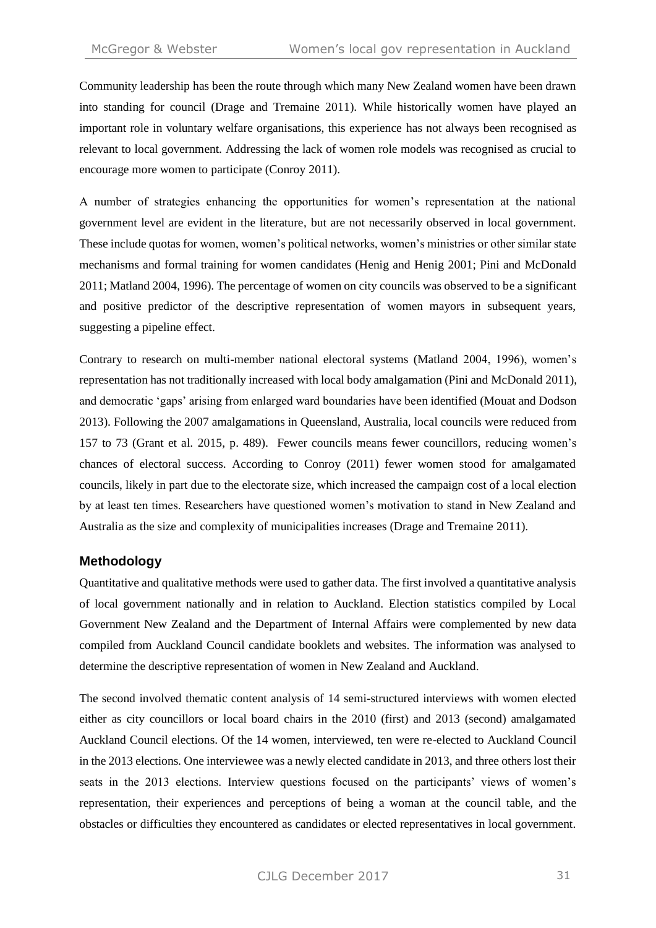Community leadership has been the route through which many New Zealand women have been drawn into standing for council (Drage and Tremaine 2011). While historically women have played an important role in voluntary welfare organisations, this experience has not always been recognised as relevant to local government. Addressing the lack of women role models was recognised as crucial to encourage more women to participate (Conroy 2011).

A number of strategies enhancing the opportunities for women's representation at the national government level are evident in the literature, but are not necessarily observed in local government. These include quotas for women, women's political networks, women's ministries or other similar state mechanisms and formal training for women candidates (Henig and Henig 2001; Pini and McDonald 2011; Matland 2004, 1996). The percentage of women on city councils was observed to be a significant and positive predictor of the descriptive representation of women mayors in subsequent years, suggesting a pipeline effect.

Contrary to research on multi-member national electoral systems (Matland 2004, 1996), women's representation has not traditionally increased with local body amalgamation (Pini and McDonald 2011), and democratic 'gaps' arising from enlarged ward boundaries have been identified (Mouat and Dodson 2013). Following the 2007 amalgamations in Queensland, Australia, local councils were reduced from 157 to 73 (Grant et al. 2015, p. 489). Fewer councils means fewer councillors, reducing women's chances of electoral success. According to Conroy (2011) fewer women stood for amalgamated councils, likely in part due to the electorate size, which increased the campaign cost of a local election by at least ten times. Researchers have questioned women's motivation to stand in New Zealand and Australia as the size and complexity of municipalities increases (Drage and Tremaine 2011).

#### **Methodology**

Quantitative and qualitative methods were used to gather data. The first involved a quantitative analysis of local government nationally and in relation to Auckland. Election statistics compiled by Local Government New Zealand and the Department of Internal Affairs were complemented by new data compiled from Auckland Council candidate booklets and websites. The information was analysed to determine the descriptive representation of women in New Zealand and Auckland.

The second involved thematic content analysis of 14 semi-structured interviews with women elected either as city councillors or local board chairs in the 2010 (first) and 2013 (second) amalgamated Auckland Council elections. Of the 14 women, interviewed, ten were re-elected to Auckland Council in the 2013 elections. One interviewee was a newly elected candidate in 2013, and three others lost their seats in the 2013 elections. Interview questions focused on the participants' views of women's representation, their experiences and perceptions of being a woman at the council table, and the obstacles or difficulties they encountered as candidates or elected representatives in local government.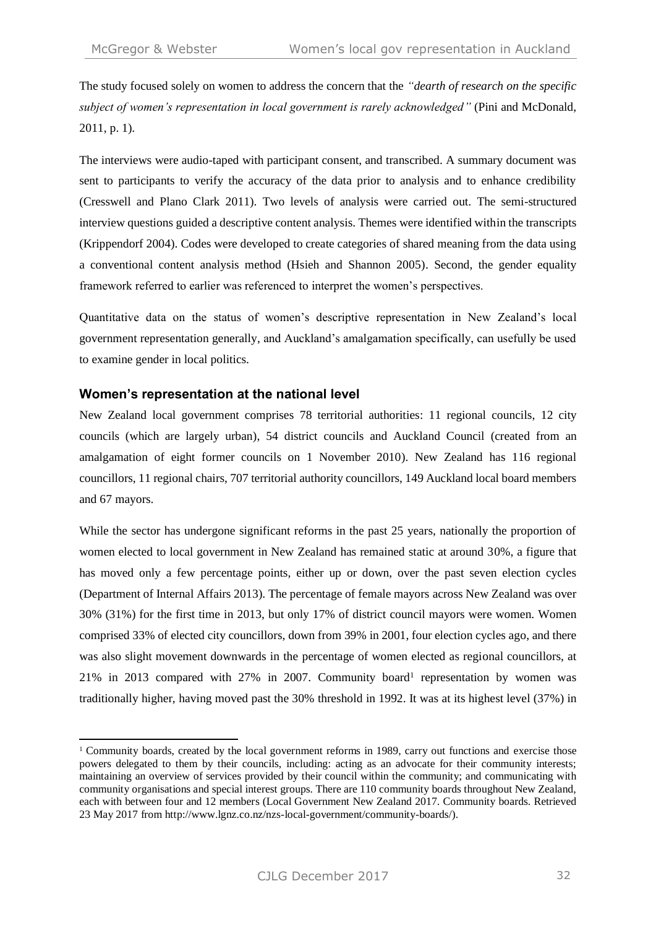The study focused solely on women to address the concern that the *"dearth of research on the specific subject of women's representation in local government is rarely acknowledged"* (Pini and McDonald, 2011, p. 1).

The interviews were audio-taped with participant consent, and transcribed. A summary document was sent to participants to verify the accuracy of the data prior to analysis and to enhance credibility (Cresswell and Plano Clark 2011). Two levels of analysis were carried out. The semi-structured interview questions guided a descriptive content analysis. Themes were identified within the transcripts (Krippendorf 2004). Codes were developed to create categories of shared meaning from the data using a conventional content analysis method (Hsieh and Shannon 2005). Second, the gender equality framework referred to earlier was referenced to interpret the women's perspectives.

Quantitative data on the status of women's descriptive representation in New Zealand's local government representation generally, and Auckland's amalgamation specifically, can usefully be used to examine gender in local politics.

#### **Women's representation at the national level**

 $\overline{a}$ 

New Zealand local government comprises 78 territorial authorities: 11 regional councils, 12 city councils (which are largely urban), 54 district councils and Auckland Council (created from an amalgamation of eight former councils on 1 November 2010). New Zealand has 116 regional councillors, 11 regional chairs, 707 territorial authority councillors, 149 Auckland local board members and 67 mayors.

While the sector has undergone significant reforms in the past 25 years, nationally the proportion of women elected to local government in New Zealand has remained static at around 30%, a figure that has moved only a few percentage points, either up or down, over the past seven election cycles (Department of Internal Affairs 2013). The percentage of female mayors across New Zealand was over 30% (31%) for the first time in 2013, but only 17% of district council mayors were women. Women comprised 33% of elected city councillors, down from 39% in 2001, four election cycles ago, and there was also slight movement downwards in the percentage of women elected as regional councillors, at  $21\%$  in 2013 compared with 27% in 2007. Community board<sup>1</sup> representation by women was traditionally higher, having moved past the 30% threshold in 1992. It was at its highest level (37%) in

<sup>&</sup>lt;sup>1</sup> Community boards, created by the local government reforms in 1989, carry out functions and exercise those powers delegated to them by their councils, including: acting as an advocate for their community interests; maintaining an overview of services provided by their council within the community; and communicating with community organisations and special interest groups. There are 110 community boards throughout New Zealand, each with between four and 12 members (Local Government New Zealand 2017. Community boards. Retrieved 23 May 2017 from http://www.lgnz.co.nz/nzs-local-government/community-boards/).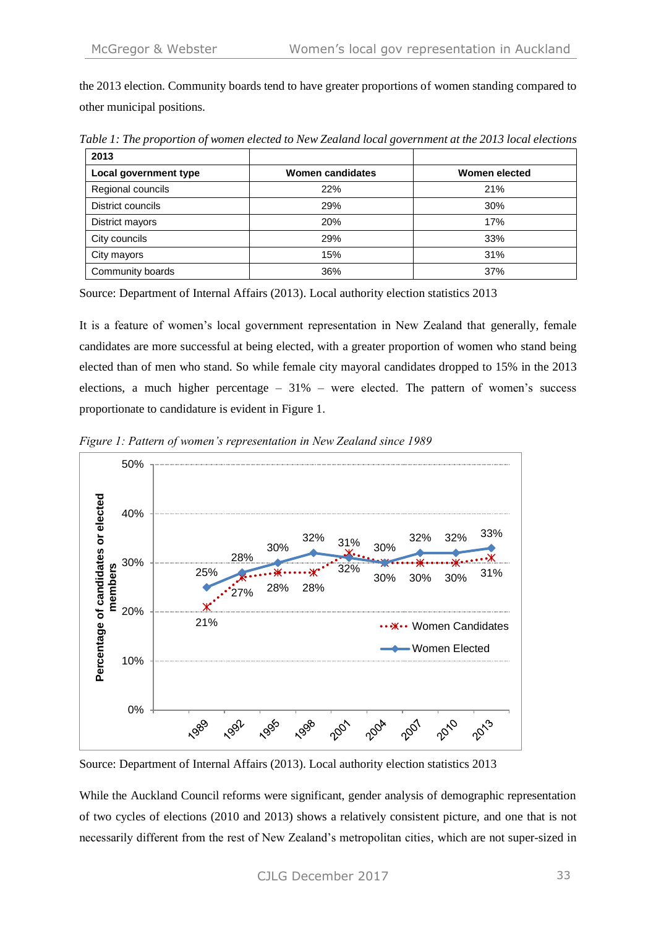the 2013 election. Community boards tend to have greater proportions of women standing compared to other municipal positions.

| 2013                  |                         |                      |
|-----------------------|-------------------------|----------------------|
| Local government type | <b>Women candidates</b> | <b>Women elected</b> |
| Regional councils     | 22%                     | 21%                  |
| District councils     | 29%                     | 30%                  |
| District mayors       | 20%                     | 17%                  |
| City councils         | 29%                     | 33%                  |
| City mayors           | 15%                     | 31%                  |
| Community boards      | 36%                     | 37%                  |

*Table 1: The proportion of women elected to New Zealand local government at the 2013 local elections*

Source: Department of Internal Affairs (2013). Local authority election statistics 2013

It is a feature of women's local government representation in New Zealand that generally, female candidates are more successful at being elected, with a greater proportion of women who stand being elected than of men who stand. So while female city mayoral candidates dropped to 15% in the 2013 elections, a much higher percentage  $-31\%$  – were elected. The pattern of women's success proportionate to candidature is evident in Figure 1.



*Figure 1: Pattern of women's representation in New Zealand since 1989*

Source: Department of Internal Affairs (2013). Local authority election statistics 2013

While the Auckland Council reforms were significant, gender analysis of demographic representation of two cycles of elections (2010 and 2013) shows a relatively consistent picture, and one that is not necessarily different from the rest of New Zealand's metropolitan cities, which are not super-sized in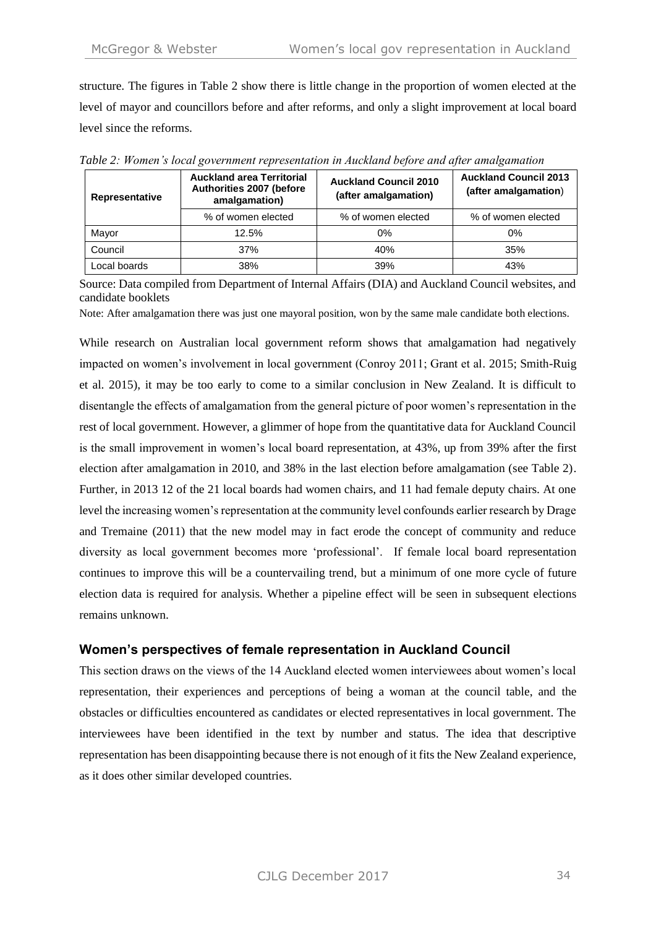structure. The figures in Table 2 show there is little change in the proportion of women elected at the level of mayor and councillors before and after reforms, and only a slight improvement at local board level since the reforms.

| Representative | <b>Auckland area Territorial</b><br>Authorities 2007 (before<br>amalgamation) | <b>Auckland Council 2010</b><br>(after amalgamation) | <b>Auckland Council 2013</b><br>(after amalgamation) |
|----------------|-------------------------------------------------------------------------------|------------------------------------------------------|------------------------------------------------------|
|                | % of women elected                                                            | % of women elected                                   | % of women elected                                   |
| Mayor          | 12.5%                                                                         | 0%                                                   | 0%                                                   |
| Council        | 37%                                                                           | 40%                                                  | 35%                                                  |
| Local boards   | 38%                                                                           | 39%                                                  | 43%                                                  |

*Table 2: Women's local government representation in Auckland before and after amalgamation*

Source: Data compiled from Department of Internal Affairs (DIA) and Auckland Council websites, and candidate booklets

Note: After amalgamation there was just one mayoral position, won by the same male candidate both elections.

While research on Australian local government reform shows that amalgamation had negatively impacted on women's involvement in local government (Conroy 2011; Grant et al. 2015; Smith-Ruig et al. 2015), it may be too early to come to a similar conclusion in New Zealand. It is difficult to disentangle the effects of amalgamation from the general picture of poor women's representation in the rest of local government. However, a glimmer of hope from the quantitative data for Auckland Council is the small improvement in women's local board representation, at 43%, up from 39% after the first election after amalgamation in 2010, and 38% in the last election before amalgamation (see Table 2). Further, in 2013 12 of the 21 local boards had women chairs, and 11 had female deputy chairs. At one level the increasing women's representation at the community level confounds earlier research by Drage and Tremaine (2011) that the new model may in fact erode the concept of community and reduce diversity as local government becomes more 'professional'. If female local board representation continues to improve this will be a countervailing trend, but a minimum of one more cycle of future election data is required for analysis. Whether a pipeline effect will be seen in subsequent elections remains unknown.

## **Women's perspectives of female representation in Auckland Council**

This section draws on the views of the 14 Auckland elected women interviewees about women's local representation, their experiences and perceptions of being a woman at the council table, and the obstacles or difficulties encountered as candidates or elected representatives in local government. The interviewees have been identified in the text by number and status. The idea that descriptive representation has been disappointing because there is not enough of it fits the New Zealand experience, as it does other similar developed countries.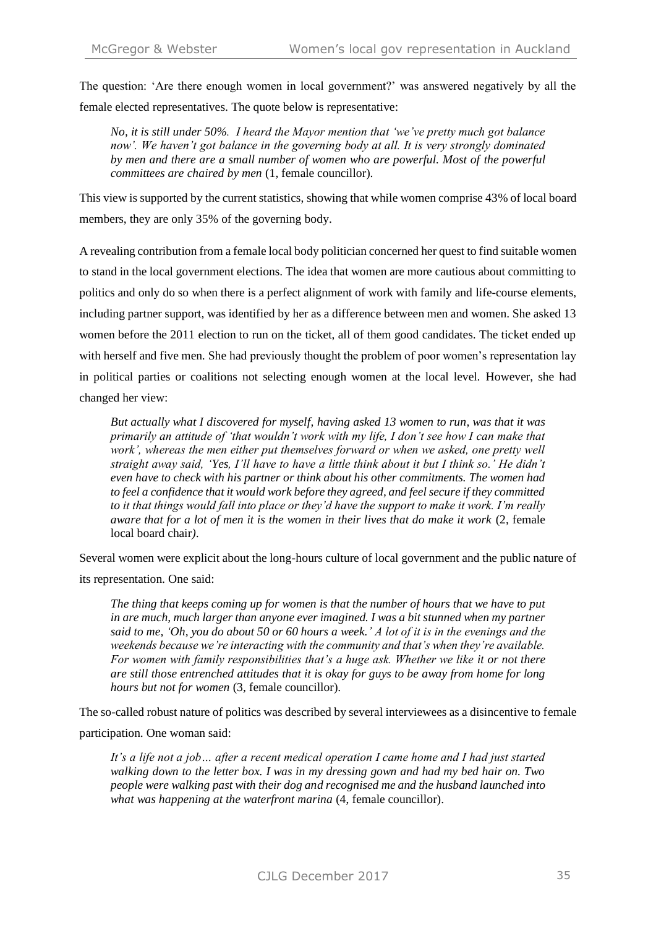The question: 'Are there enough women in local government?' was answered negatively by all the female elected representatives. The quote below is representative:

*No, it is still under 50%. I heard the Mayor mention that 'we've pretty much got balance now'. We haven't got balance in the governing body at all. It is very strongly dominated by men and there are a small number of women who are powerful. Most of the powerful committees are chaired by men* (1, female councillor).

This view is supported by the current statistics, showing that while women comprise 43% of local board members, they are only 35% of the governing body.

A revealing contribution from a female local body politician concerned her quest to find suitable women to stand in the local government elections. The idea that women are more cautious about committing to politics and only do so when there is a perfect alignment of work with family and life-course elements, including partner support, was identified by her as a difference between men and women. She asked 13 women before the 2011 election to run on the ticket, all of them good candidates. The ticket ended up with herself and five men. She had previously thought the problem of poor women's representation lay in political parties or coalitions not selecting enough women at the local level. However, she had changed her view:

*But actually what I discovered for myself, having asked 13 women to run, was that it was primarily an attitude of 'that wouldn't work with my life, I don't see how I can make that work'*, whereas the men either put themselves forward or when we asked, one pretty well *straight away said, 'Yes, I'll have to have a little think about it but I think so.' He didn't even have to check with his partner or think about his other commitments. The women had to feel a confidence that it would work before they agreed, and feel secure if they committed to it that things would fall into place or they'd have the support to make it work. I'm really aware that for a lot of men it is the women in their lives that do make it work* (2, female local board chair*).*

Several women were explicit about the long-hours culture of local government and the public nature of its representation. One said:

*The thing that keeps coming up for women is that the number of hours that we have to put in are much, much larger than anyone ever imagined. I was a bit stunned when my partner said to me, 'Oh, you do about 50 or 60 hours a week.' A lot of it is in the evenings and the weekends because we're interacting with the community and that's when they're available. For women with family responsibilities that's a huge ask. Whether we like it or not there are still those entrenched attitudes that it is okay for guys to be away from home for long hours but not for women* (3, female councillor)*.*

The so-called robust nature of politics was described by several interviewees as a disincentive to female participation. One woman said:

*It's a life not a job… after a recent medical operation I came home and I had just started walking down to the letter box. I was in my dressing gown and had my bed hair on. Two people were walking past with their dog and recognised me and the husband launched into what was happening at the waterfront marina* (4, female councillor).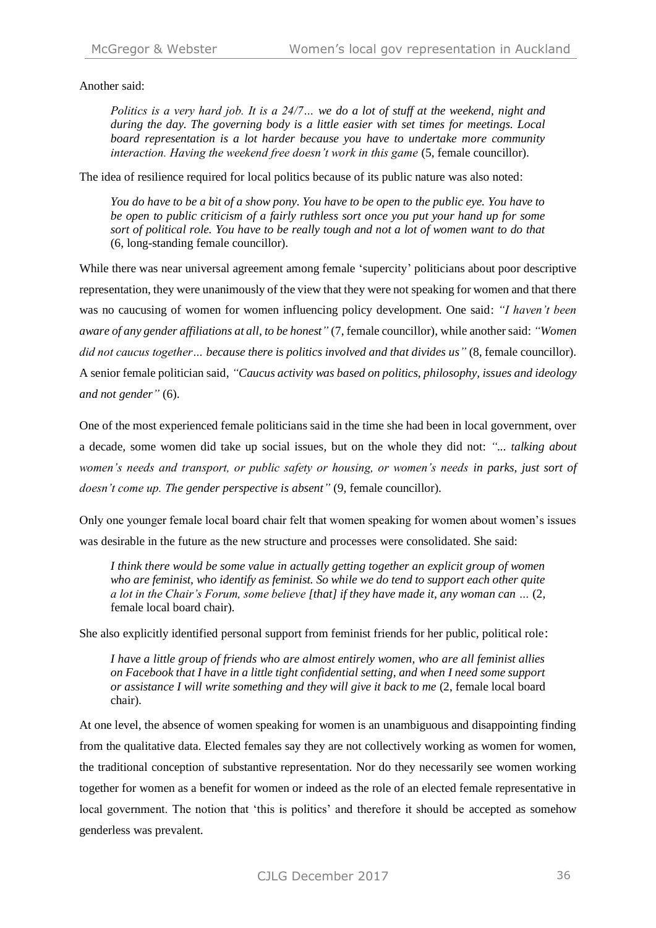#### Another said:

*Politics is a very hard job. It is a 24/7… we do a lot of stuff at the weekend, night and during the day. The governing body is a little easier with set times for meetings. Local board representation is a lot harder because you have to undertake more community interaction. Having the weekend free doesn't work in this game* (5, female councillor).

The idea of resilience required for local politics because of its public nature was also noted:

*You do have to be a bit of a show pony. You have to be open to the public eye. You have to be open to public criticism of a fairly ruthless sort once you put your hand up for some sort of political role. You have to be really tough and not a lot of women want to do that* (6, long-standing female councillor).

While there was near universal agreement among female 'supercity' politicians about poor descriptive representation, they were unanimously of the view that they were not speaking for women and that there was no caucusing of women for women influencing policy development. One said: *"I haven't been aware of any gender affiliations at all, to be honest"* (7, female councillor), while another said: *"Women did not caucus together… because there is politics involved and that divides us"* (8, female councillor). A senior female politician said, *"Caucus activity was based on politics, philosophy, issues and ideology and not gender"* (6).

One of the most experienced female politicians said in the time she had been in local government, over a decade, some women did take up social issues, but on the whole they did not: *"... talking about women's needs and transport, or public safety or housing, or women's needs in parks, just sort of doesn't come up. The gender perspective is absent"* (9, female councillor).

Only one younger female local board chair felt that women speaking for women about women's issues was desirable in the future as the new structure and processes were consolidated. She said:

*I think there would be some value in actually getting together an explicit group of women who are feminist, who identify as feminist. So while we do tend to support each other quite a lot in the Chair's Forum, some believe [that] if they have made it, any woman can …* (2, female local board chair).

She also explicitly identified personal support from feminist friends for her public, political role:

*I have a little group of friends who are almost entirely women, who are all feminist allies on Facebook that I have in a little tight confidential setting, and when I need some support or assistance I will write something and they will give it back to me (2, female local board* chair).

At one level, the absence of women speaking for women is an unambiguous and disappointing finding from the qualitative data. Elected females say they are not collectively working as women for women, the traditional conception of substantive representation. Nor do they necessarily see women working together for women as a benefit for women or indeed as the role of an elected female representative in local government. The notion that 'this is politics' and therefore it should be accepted as somehow genderless was prevalent.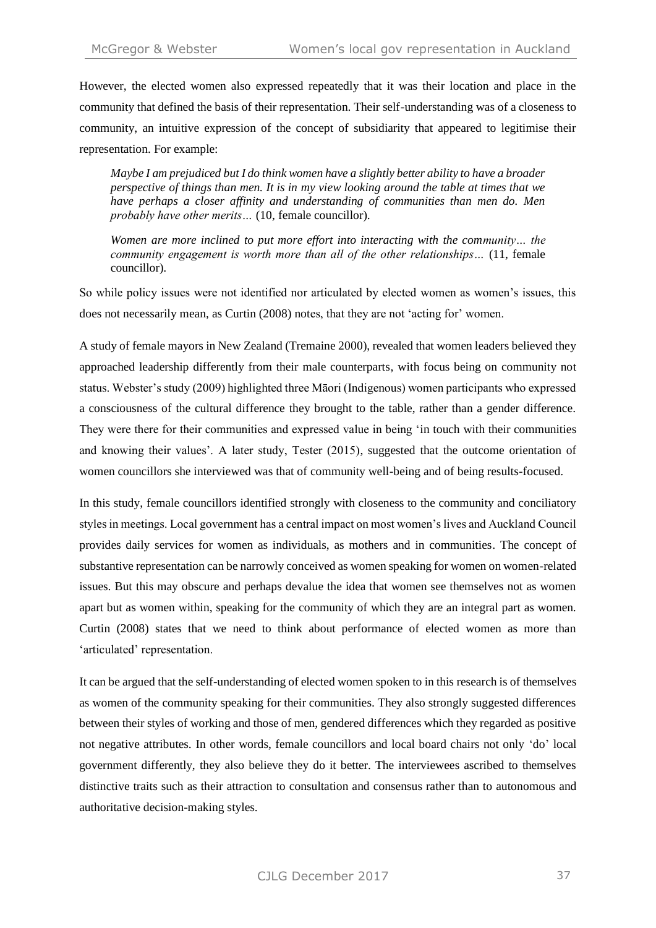However, the elected women also expressed repeatedly that it was their location and place in the community that defined the basis of their representation. Their self-understanding was of a closeness to community, an intuitive expression of the concept of subsidiarity that appeared to legitimise their representation. For example:

*Maybe I am prejudiced but I do think women have a slightly better ability to have a broader perspective of things than men. It is in my view looking around the table at times that we have perhaps a closer affinity and understanding of communities than men do. Men probably have other merits…* (10, female councillor).

*Women are more inclined to put more effort into interacting with the community… the community engagement is worth more than all of the other relationships…* (11, female councillor).

So while policy issues were not identified nor articulated by elected women as women's issues, this does not necessarily mean, as Curtin (2008) notes, that they are not 'acting for' women.

A study of female mayors in New Zealand (Tremaine 2000), revealed that women leaders believed they approached leadership differently from their male counterparts, with focus being on community not status. Webster's study (2009) highlighted three Māori (Indigenous) women participants who expressed a consciousness of the cultural difference they brought to the table, rather than a gender difference. They were there for their communities and expressed value in being 'in touch with their communities and knowing their values'. A later study, Tester (2015), suggested that the outcome orientation of women councillors she interviewed was that of community well-being and of being results-focused.

In this study, female councillors identified strongly with closeness to the community and conciliatory styles in meetings. Local government has a central impact on most women's lives and Auckland Council provides daily services for women as individuals, as mothers and in communities. The concept of substantive representation can be narrowly conceived as women speaking for women on women-related issues. But this may obscure and perhaps devalue the idea that women see themselves not as women apart but as women within, speaking for the community of which they are an integral part as women. Curtin (2008) states that we need to think about performance of elected women as more than 'articulated' representation.

It can be argued that the self-understanding of elected women spoken to in this research is of themselves as women of the community speaking for their communities. They also strongly suggested differences between their styles of working and those of men, gendered differences which they regarded as positive not negative attributes. In other words, female councillors and local board chairs not only 'do' local government differently, they also believe they do it better. The interviewees ascribed to themselves distinctive traits such as their attraction to consultation and consensus rather than to autonomous and authoritative decision-making styles.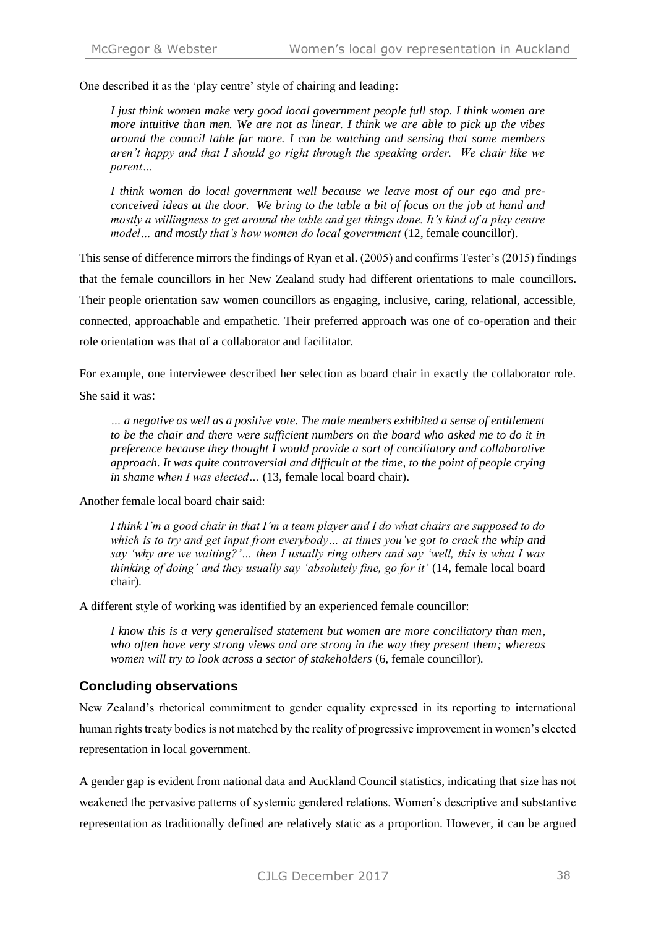One described it as the 'play centre' style of chairing and leading:

*I just think women make very good local government people full stop. I think women are more intuitive than men. We are not as linear. I think we are able to pick up the vibes around the council table far more. I can be watching and sensing that some members aren't happy and that I should go right through the speaking order. We chair like we parent…*

*I think women do local government well because we leave most of our ego and preconceived ideas at the door. We bring to the table a bit of focus on the job at hand and mostly a willingness to get around the table and get things done. It's kind of a play centre model… and mostly that's how women do local government* (12, female councillor).

This sense of difference mirrors the findings of Ryan et al. (2005) and confirms Tester's (2015) findings that the female councillors in her New Zealand study had different orientations to male councillors. Their people orientation saw women councillors as engaging, inclusive, caring, relational, accessible, connected, approachable and empathetic. Their preferred approach was one of co-operation and their role orientation was that of a collaborator and facilitator.

For example, one interviewee described her selection as board chair in exactly the collaborator role.

She said it was:

*… a negative as well as a positive vote. The male members exhibited a sense of entitlement to be the chair and there were sufficient numbers on the board who asked me to do it in preference because they thought I would provide a sort of conciliatory and collaborative approach. It was quite controversial and difficult at the time, to the point of people crying in shame when I was elected…* (13, female local board chair).

Another female local board chair said:

*I think I'm a good chair in that I'm a team player and I do what chairs are supposed to do which is to try and get input from everybody… at times you've got to crack the whip and say 'why are we waiting?'… then I usually ring others and say 'well, this is what I was thinking of doing' and they usually say 'absolutely fine, go for it'* (14, female local board chair).

A different style of working was identified by an experienced female councillor:

*I know this is a very generalised statement but women are more conciliatory than men, who often have very strong views and are strong in the way they present them; whereas women will try to look across a sector of stakeholders* (6, female councillor).

#### **Concluding observations**

New Zealand's rhetorical commitment to gender equality expressed in its reporting to international human rights treaty bodies is not matched by the reality of progressive improvement in women's elected representation in local government.

A gender gap is evident from national data and Auckland Council statistics, indicating that size has not weakened the pervasive patterns of systemic gendered relations. Women's descriptive and substantive representation as traditionally defined are relatively static as a proportion. However, it can be argued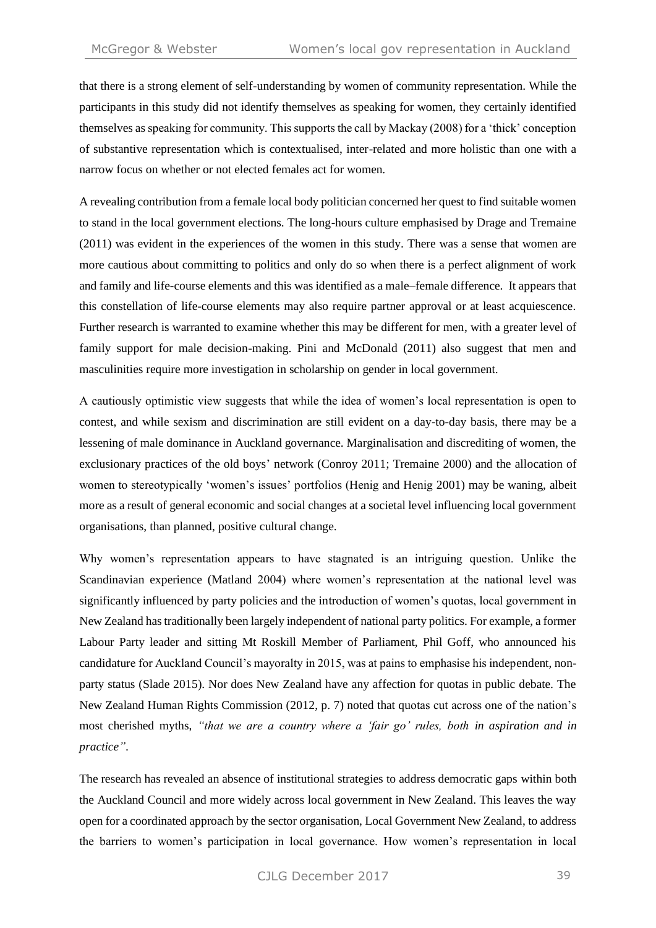that there is a strong element of self-understanding by women of community representation. While the participants in this study did not identify themselves as speaking for women, they certainly identified themselves as speaking for community. This supports the call by Mackay (2008) for a 'thick' conception of substantive representation which is contextualised, inter-related and more holistic than one with a narrow focus on whether or not elected females act for women.

A revealing contribution from a female local body politician concerned her quest to find suitable women to stand in the local government elections. The long-hours culture emphasised by Drage and Tremaine (2011) was evident in the experiences of the women in this study. There was a sense that women are more cautious about committing to politics and only do so when there is a perfect alignment of work and family and life-course elements and this was identified as a male–female difference. It appears that this constellation of life-course elements may also require partner approval or at least acquiescence. Further research is warranted to examine whether this may be different for men, with a greater level of family support for male decision-making. Pini and McDonald (2011) also suggest that men and masculinities require more investigation in scholarship on gender in local government.

A cautiously optimistic view suggests that while the idea of women's local representation is open to contest, and while sexism and discrimination are still evident on a day-to-day basis, there may be a lessening of male dominance in Auckland governance. Marginalisation and discrediting of women, the exclusionary practices of the old boys' network (Conroy 2011; Tremaine 2000) and the allocation of women to stereotypically 'women's issues' portfolios (Henig and Henig 2001) may be waning, albeit more as a result of general economic and social changes at a societal level influencing local government organisations, than planned, positive cultural change.

Why women's representation appears to have stagnated is an intriguing question. Unlike the Scandinavian experience (Matland 2004) where women's representation at the national level was significantly influenced by party policies and the introduction of women's quotas, local government in New Zealand has traditionally been largely independent of national party politics. For example, a former Labour Party leader and sitting Mt Roskill Member of Parliament, Phil Goff, who announced his candidature for Auckland Council's mayoralty in 2015, was at pains to emphasise his independent, nonparty status (Slade 2015). Nor does New Zealand have any affection for quotas in public debate. The New Zealand Human Rights Commission (2012, p. 7) noted that quotas cut across one of the nation's most cherished myths, *"that we are a country where a 'fair go' rules, both in aspiration and in practice"*.

The research has revealed an absence of institutional strategies to address democratic gaps within both the Auckland Council and more widely across local government in New Zealand. This leaves the way open for a coordinated approach by the sector organisation, Local Government New Zealand, to address the barriers to women's participation in local governance. How women's representation in local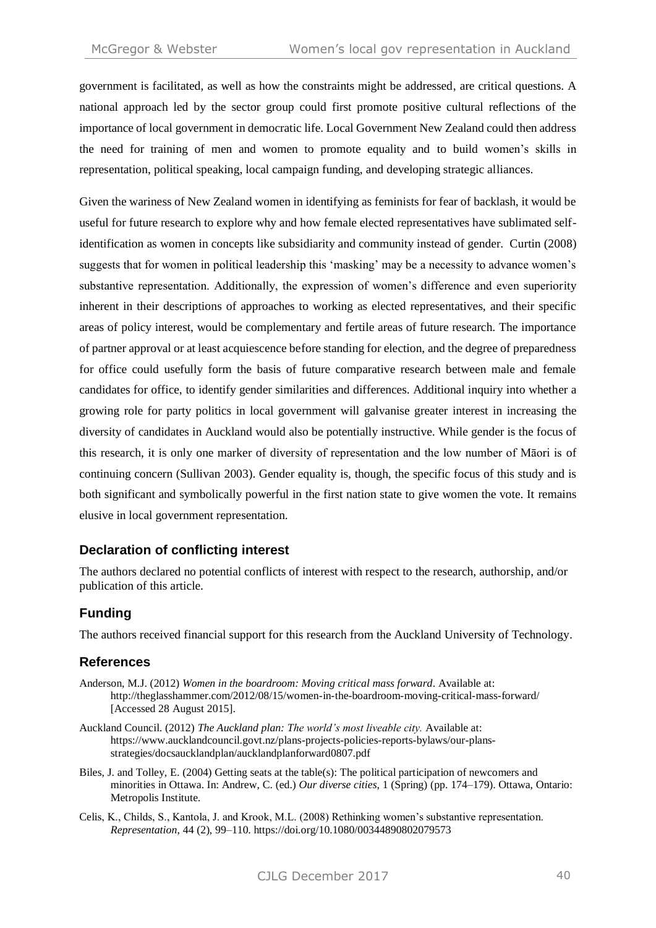government is facilitated, as well as how the constraints might be addressed, are critical questions. A national approach led by the sector group could first promote positive cultural reflections of the importance of local government in democratic life. Local Government New Zealand could then address the need for training of men and women to promote equality and to build women's skills in representation, political speaking, local campaign funding, and developing strategic alliances.

Given the wariness of New Zealand women in identifying as feminists for fear of backlash, it would be useful for future research to explore why and how female elected representatives have sublimated selfidentification as women in concepts like subsidiarity and community instead of gender. Curtin (2008) suggests that for women in political leadership this 'masking' may be a necessity to advance women's substantive representation. Additionally, the expression of women's difference and even superiority inherent in their descriptions of approaches to working as elected representatives, and their specific areas of policy interest, would be complementary and fertile areas of future research. The importance of partner approval or at least acquiescence before standing for election, and the degree of preparedness for office could usefully form the basis of future comparative research between male and female candidates for office, to identify gender similarities and differences. Additional inquiry into whether a growing role for party politics in local government will galvanise greater interest in increasing the diversity of candidates in Auckland would also be potentially instructive. While gender is the focus of this research, it is only one marker of diversity of representation and the low number of Māori is of continuing concern (Sullivan 2003). Gender equality is, though, the specific focus of this study and is both significant and symbolically powerful in the first nation state to give women the vote. It remains elusive in local government representation.

## **Declaration of conflicting interest**

The authors declared no potential conflicts of interest with respect to the research, authorship, and/or publication of this article.

# **Funding**

The authors received financial support for this research from the Auckland University of Technology.

# **References**

- Anderson, M.J. (2012) *Women in the boardroom: Moving critical mass forward*. Available at: http://theglasshammer.com/2012/08/15/women-in-the-boardroom-moving-critical-mass-forward/ [Accessed 28 August 2015].
- Auckland Council. (2012) *The Auckland plan: The world's most liveable city.* Available at: https://www.aucklandcouncil.govt.nz/plans-projects-policies-reports-bylaws/our-plansstrategies/docsaucklandplan/aucklandplanforward0807.pdf
- Biles, J. and Tolley, E. (2004) Getting seats at the table(s): The political participation of newcomers and minorities in Ottawa. In: Andrew, C. (ed.) *Our diverse cities*, 1 (Spring) (pp. 174–179). Ottawa, Ontario: Metropolis Institute.
- Celis, K., Childs, S., Kantola, J. and Krook, M.L. (2008) Rethinking women's substantive representation. *Representation*, 44 (2), 99–110. <https://doi.org/10.1080/00344890802079573>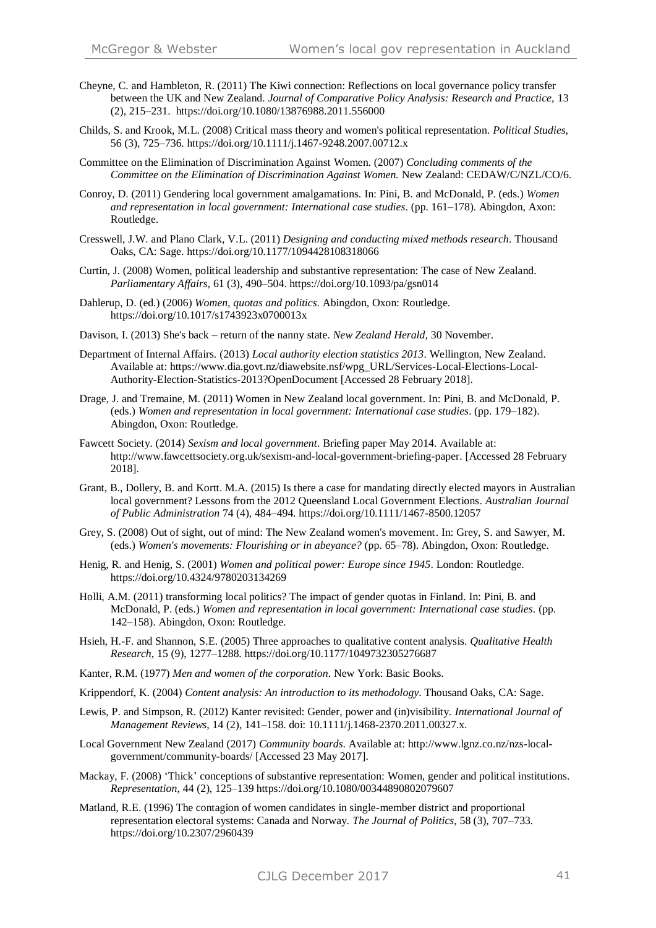- Cheyne, C. and Hambleton, R. (2011) The Kiwi connection: Reflections on local governance policy transfer between the UK and New Zealand. *Journal of Comparative Policy Analysis: Research and Practice,* 13 (2), 215–231. [https://doi.org/10.1080/13876988.2011.556000](file:///C:/Users/Diane%20Bowden/Downloads/ https:/doi.org/10.1080/13876988.2011.556000)
- Childs, S. and Krook, M.L. (2008) Critical mass theory and women's political representation. *Political Studies*, 56 (3), 725–736. <https://doi.org/10.1111/j.1467-9248.2007.00712.x>
- Committee on the Elimination of Discrimination Against Women. (2007) *Concluding comments of the Committee on the Elimination of Discrimination Against Women.* New Zealand: CEDAW/C/NZL/CO/6.
- Conroy, D. (2011) Gendering local government amalgamations. In: Pini, B. and McDonald, P. (eds.) *Women and representation in local government: International case studies*. (pp. 161–178). Abingdon, Axon: Routledge.
- Cresswell, J.W. and Plano Clark, V.L. (2011) *Designing and conducting mixed methods research*. Thousand Oaks, CA: Sage. <https://doi.org/10.1177/1094428108318066>
- Curtin, J. (2008) Women, political leadership and substantive representation: The case of New Zealand. *Parliamentary Affairs,* 61 (3), 490–504. <https://doi.org/10.1093/pa/gsn014>
- Dahlerup, D. (ed.) (2006) *Women, quotas and politics*. Abingdon, Oxon: Routledge. <https://doi.org/10.1017/s1743923x0700013x>
- Davison, I. (2013) She's back return of the nanny state. *New Zealand Herald*, 30 November.
- Department of Internal Affairs. (2013) *Local authority election statistics 2013*. Wellington, New Zealand. Available at: [https://www.dia.govt.nz/diawebsite.nsf/wpg\\_URL/Services-Local-Elections-Local-](https://www.dia.govt.nz/diawebsite.nsf/wpg_URL/Services-Local-Elections-Local-Authority-Election-Statistics-2013?OpenDocument)[Authority-Election-Statistics-2013?OpenDocument](https://www.dia.govt.nz/diawebsite.nsf/wpg_URL/Services-Local-Elections-Local-Authority-Election-Statistics-2013?OpenDocument) [Accessed 28 February 2018].
- Drage, J. and Tremaine, M. (2011) Women in New Zealand local government. In: Pini, B. and McDonald, P. (eds.) *Women and representation in local government: International case studies*. (pp. 179–182). Abingdon, Oxon: Routledge.
- Fawcett Society. (2014) *Sexism and local government*. Briefing paper May 2014. Available at: http://www.fawcettsociety.org.uk/sexism-and-local-government-briefing-paper. [Accessed 28 February 2018].
- Grant, B., Dollery, B. and Kortt. M.A. (2015) Is there a case for mandating directly elected mayors in Australian local government? Lessons from the 2012 Queensland Local Government Elections. *Australian Journal of Public Administration* 74 (4), 484–494. <https://doi.org/10.1111/1467-8500.12057>
- Grey, S. (2008) Out of sight, out of mind: The New Zealand women's movement. In: Grey, S. and Sawyer, M. (eds.) *Women's movements: Flourishing or in abeyance?* (pp. 65–78). Abingdon, Oxon: Routledge.
- Henig, R. and Henig, S. (2001) *Women and political power: Europe since 1945*. London: Routledge. <https://doi.org/10.4324/9780203134269>
- Holli, A.M. (2011) transforming local politics? The impact of gender quotas in Finland. In: Pini, B. and McDonald, P. (eds.) *Women and representation in local government: International case studies*. (pp. 142–158). Abingdon, Oxon: Routledge.
- Hsieh, H.-F. and Shannon, S.E. (2005) Three approaches to qualitative content analysis. *Qualitative Health Research*, 15 (9), 1277–1288. <https://doi.org/10.1177/1049732305276687>
- Kanter, R.M. (1977) *Men and women of the corporation*. New York: Basic Books.
- Krippendorf, K. (2004) *Content analysis: An introduction to its methodology*. Thousand Oaks, CA: Sage.
- Lewis, P. and Simpson, R. (2012) Kanter revisited: Gender, power and (in)visibility. *International Journal of Management Reviews*, 14 (2), 141–158. doi: 10.1111/j.1468-2370.2011.00327.x.
- Local Government New Zealand (2017) *Community boards*. Available at: http://www.lgnz.co.nz/nzs-localgovernment/community-boards/ [Accessed 23 May 2017].
- Mackay, F. (2008) 'Thick' conceptions of substantive representation: Women, gender and political institutions. *Representation*, 44 (2), 125–13[9 https://doi.org/10.1080/00344890802079607](https://doi.org/10.1080/00344890802079607)
- Matland, R.E. (1996) The contagion of women candidates in single-member district and proportional representation electoral systems: Canada and Norway. *The Journal of Politics*, 58 (3), 707–733. <https://doi.org/10.2307/2960439>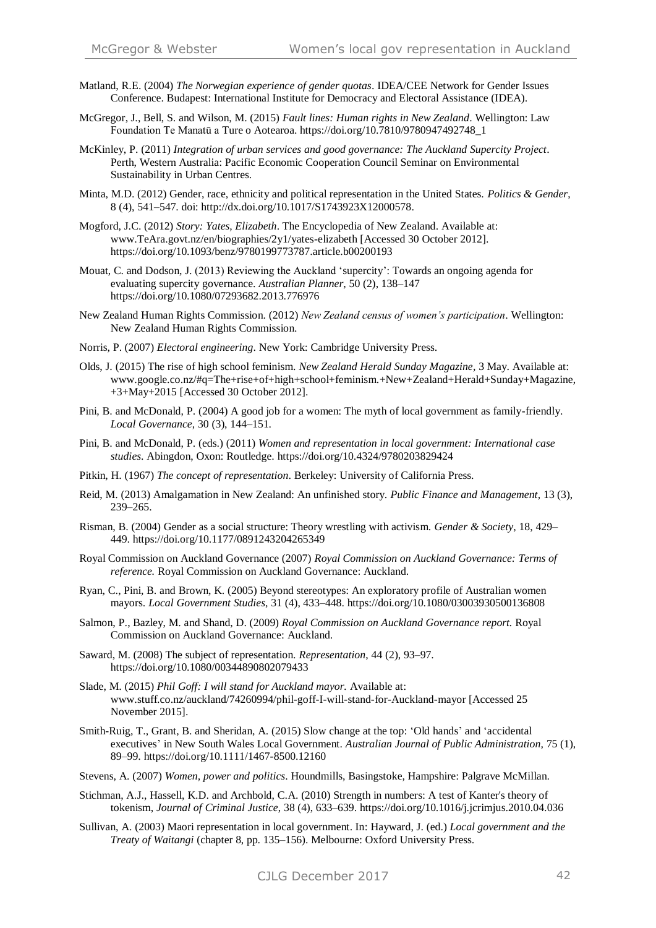- Matland, R.E. (2004) *The Norwegian experience of gender quotas*. IDEA/CEE Network for Gender Issues Conference. Budapest: International Institute for Democracy and Electoral Assistance (IDEA).
- McGregor, J., Bell, S. and Wilson, M. (2015) *Fault lines: Human rights in New Zealand*. Wellington: Law Foundation Te Manatū a Ture o Aotearoa. [https://doi.org/10.7810/9780947492748\\_1](https://doi.org/10.7810/9780947492748_1)
- McKinley, P. (2011) *Integration of urban services and good governance: The Auckland Supercity Project*. Perth, Western Australia: Pacific Economic Cooperation Council Seminar on Environmental Sustainability in Urban Centres.
- Minta, M.D. (2012) Gender, race, ethnicity and political representation in the United States. *Politics & Gender*, 8 (4), 541–547. doi[: http://dx.doi.org/10.1017/S1743923X12000578.](http://dx.doi.org/10.1017/S1743923X12000578)
- Mogford, J.C. (2012) *Story: Yates, Elizabeth*. The Encyclopedia of New Zealand. Available at: www.TeAra.govt.nz/en/biographies/2y1/yates-elizabeth [Accessed 30 October 2012]. <https://doi.org/10.1093/benz/9780199773787.article.b00200193>
- Mouat, C. and Dodson, J. (2013) Reviewing the Auckland 'supercity': Towards an ongoing agenda for evaluating supercity governance. *Australian Planner*, 50 (2), 138–147 <https://doi.org/10.1080/07293682.2013.776976>
- New Zealand Human Rights Commission. (2012) *New Zealand census of women's participation*. Wellington: New Zealand Human Rights Commission.
- Norris, P. (2007) *Electoral engineering*. New York: Cambridge University Press.
- Olds, J. (2015) The rise of high school feminism. *New Zealand Herald Sunday Magazine*, 3 May. Available at: [www.google.co.nz/#q=The+rise+of+high+school+feminism.+New+Zealand+Herald+Sunday+Magazine,](file:///C:/Users/Diane%20Bowden/Downloads/www.google.co.nz/) [+3+May+2015](file:///C:/Users/Diane%20Bowden/Downloads/www.google.co.nz/) [Accessed 30 October 2012].
- Pini, B. and McDonald, P. (2004) A good job for a women: The myth of local government as family-friendly. *Local Governance*, 30 (3), 144–151.
- Pini, B. and McDonald, P. (eds.) (2011) *Women and representation in local government: International case studies*. Abingdon, Oxon: Routledge. <https://doi.org/10.4324/9780203829424>
- Pitkin, H. (1967) *The concept of representation*. Berkeley: University of California Press.
- Reid, M. (2013) Amalgamation in New Zealand: An unfinished story. *Public Finance and Management,* 13 (3), 239–265.
- Risman, B. (2004) Gender as a social structure: Theory wrestling with activism. *Gender & Society*, 18, 429– 449. <https://doi.org/10.1177/0891243204265349>
- Royal Commission on Auckland Governance (2007) *Royal Commission on Auckland Governance: Terms of reference.* Royal Commission on Auckland Governance: Auckland.
- Ryan, C., Pini, B. and Brown, K. (2005) Beyond stereotypes: An exploratory profile of Australian women mayors. *Local Government Studies*, 31 (4), 433–448. <https://doi.org/10.1080/03003930500136808>
- Salmon, P., Bazley, M. and Shand, D. (2009) *Royal Commission on Auckland Governance report.* Royal Commission on Auckland Governance: Auckland.
- Saward, M. (2008) The subject of representation. *Representation*, 44 (2), 93–97. <https://doi.org/10.1080/00344890802079433>
- Slade, M. (2015) *Phil Goff: I will stand for Auckland mayor.* Available at: www.stuff.co.nz/auckland/74260994/phil-goff-I-will-stand-for-Auckland-mayor [Accessed 25 November 2015].
- Smith-Ruig, T., Grant, B. and Sheridan, A. (2015) Slow change at the top: 'Old hands' and 'accidental executives' in New South Wales Local Government. *Australian Journal of Public Administration,* 75 (1), 89–99. <https://doi.org/10.1111/1467-8500.12160>
- Stevens, A. (2007) *Women, power and politics*. Houndmills, Basingstoke, Hampshire: Palgrave McMillan.
- Stichman, A.J., Hassell, K.D. and Archbold, C.A. (2010) Strength in numbers: A test of Kanter's theory of tokenism, *Journal of Criminal Justice*, 38 (4), 633–639.<https://doi.org/10.1016/j.jcrimjus.2010.04.036>
- Sullivan, A. (2003) Maori representation in local government. In: Hayward, J. (ed.) *Local government and the Treaty of Waitangi* (chapter 8, pp. 135–156). Melbourne: Oxford University Press.